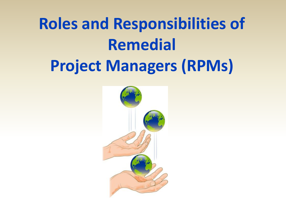# **Roles and Responsibilities of Remedial Project Managers (RPMs)**

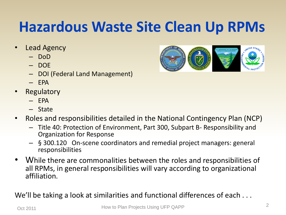## **Hazardous Waste Site Clean Up RPMs**

- Lead Agency
	- DoD
	- DOE
	- DOI (Federal Land Management)
	- $-$  FPA
- **Regulatory** 
	- $-$  FPA
	- State
- Roles and responsibilities detailed in the National Contingency Plan (NCP)
	- Title 40: Protection of Environment, Part 300, Subpart B- Responsibility and Organization for Response
	- § 300.120 On-scene coordinators and remedial project managers: general responsibilities
- While there are commonalities between the roles and responsibilities of all RPMs, in general responsibilities will vary according to organizational affiliation.

We'll be taking a look at similarities and functional differences of each ...

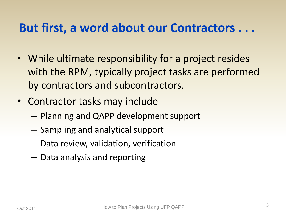### **But first, a word about our Contractors . . .**

- While ultimate responsibility for a project resides with the RPM, typically project tasks are performed by contractors and subcontractors.
- Contractor tasks may include
	- Planning and QAPP development support
	- Sampling and analytical support
	- Data review, validation, verification
	- Data analysis and reporting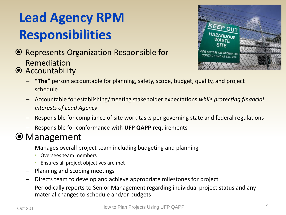## **Lead Agency RPM Responsibilities**

- Represents Organization Responsible for Remediation
- Accountability



- **"The"** person accountable for planning, safety, scope, budget, quality, and project schedule
- Accountable for establishing/meeting stakeholder expectations *while protecting financial interests of Lead Agency*
- Responsible for compliance of site work tasks per governing state and federal regulations
- Responsible for conformance with **UFP QAPP** requirements

#### Management

- Manages overall project team including budgeting and planning
	- Oversees team members
	- Ensures all project objectives are met
- Planning and Scoping meetings
- Directs team to develop and achieve appropriate milestones for project
- Periodically reports to Senior Management regarding individual project status and any material changes to schedule and/or budgets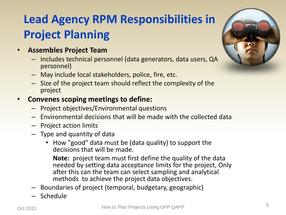## **Lead Agency RPM Responsibilities in Project Planning**

- **Assembles Project Team**  •
	- Includes technical personnel (data generators, data users, QA personnel)
	- May include local stakeholders, police, fire, etc.
	- Size of the project team should reflect the complexity of the project
- **Convenes scoping meetings to define:**  •
	- Project objectives/Environmental questions
	- Environmental decisions that will be made with the collected data
	- Project action limits
	- Type and quantity of data
		- How "good" data must be (data quality) to support the decisions that will be made.

**Note:** project team must first define the quality of the data needed by setting data acceptance limits for the project, Only after this can the team can select sampling and analytical methods to achieve the project data objectives.

- Boundaries of project (temporal, budgetary, geographic)
- **Schedule**



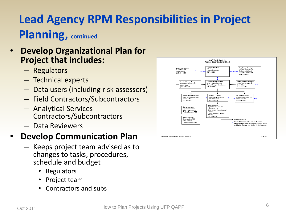### **Lead Agency RPM Responsibilities in Project Planning, continued**

#### • **Develop Organizational Plan for Project that includes:**

- Regulators
- Technical experts
- Data users (including risk assessors)
- Field Contractors/Subcontractors
- Analytical Services Contractors/Subcontractors
- Data Reviewers

#### • **Develop Communication Plan**

- Keeps project team advised as to changes to tasks, procedures, schedule and budget
	- Regulators
	- Project team
	- Contractors and subs



Document Control Number: 128068-QAPP-005

10 of 252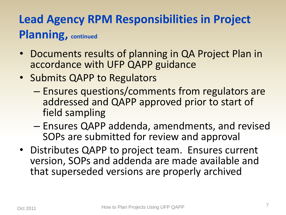## **Lead Agency RPM Responsibilities in Project Planning, continued**

- Documents results of planning in QA Project Plan in accordance with UFP QAPP guidance
- Submits QAPP to Regulators
	- Ensures questions/comments from regulators are addressed and QAPP approved prior to start of field sampling
	- Ensures QAPP addenda, amendments, and revise d SOPs are submitted for review and approval
- Distributes QAPP to project team. Ensures current version, SOPs and addenda are made available and that superseded versions are properly archived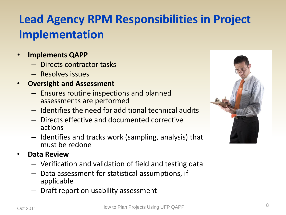## **Lead Agency RPM Responsibilities in Project Implementation**

- **Implements QAPP**
	- Directs contractor tasks
	- Resolves issues
- **Oversight and Assessment** 
	- Ensures routine inspections and planned assessments are performed
	- Identifies the need for additional technical audits
	- Directs effective and documented corrective actions
	- Identifies and tracks work (sampling, analysis) that must be redone
- **Data Review** 
	- Verification and validation of field and testing data
	- Data assessment for statistical assumptions, if applicable
	- Draft report on usability assessment

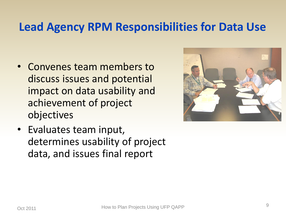#### **Lead Agency RPM Responsibilities for Data Use**

- Convenes team members to discuss issues and potential impact on data usability and achievement of project objectives
- Evaluates team input, determines usability of project data, and issues final report

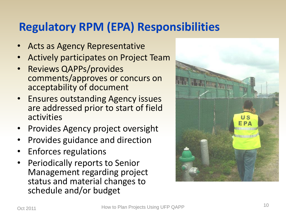### **Regulatory RPM (EPA) Responsibilities**

- Acts as Agency Representative
- Actively participates on Project Team
- Reviews QAPPs/provides comments/approves or concurs on acceptability of document
- Ensures outstanding Agency issues are addressed prior to start of field activities
- Provides Agency project oversight
- Provides guidance and direction
- Enforces regulations
- Periodically reports to Senior Management regarding project status and material changes to schedule and/or budget

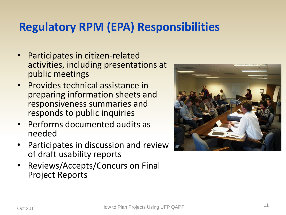#### **Regulatory RPM (EPA) Responsibilities**

- Participates in citizen-related activities, including presentations at public meetings
- Provides technical assistance in preparing information sheets and responsiveness summaries and responds to public inquiries
- Performs documented audits as needed
- Participates in discussion and review of draft usability reports
- Reviews/Accepts/Concurs on Final Project Reports

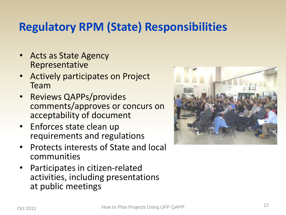#### **Regulatory RPM (State) Responsibilities**

- Acts as State Agency Representative
- Actively participates on Project Team
- Reviews QAPPs/provides comments/approves or concurs on acceptability of document
- Enforces state clean up requirements and regulations
- Protects interests of State and local communities
- Participates in citizen-related activities, including presentations at public meetings

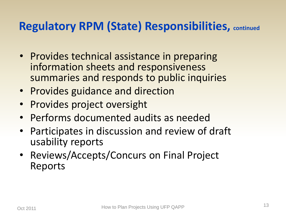#### **Regulatory RPM (State) Responsibilities, continued**

- Provides technical assistance in preparing information sheets and responsiveness summaries and responds to public inquiries
- Provides guidance and direction
- Provides project oversight
- Performs documented audits as needed
- Participates in discussion and review of draft usability reports
- Reviews/Accepts/Concurs on Final Project Reports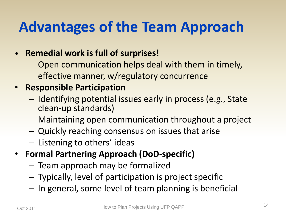## **Advantages of the Team Approach**

#### • **Remedial work is full of surprises!**

– Open communication helps deal with them in timely, effective manner, w/regulatory concurrence

#### • **Responsible Participation**

- Identifying potential issues early in process (e.g., State clean-up standards)
- Maintaining open communication throughout a project
- Quickly reaching consensus on issues that arise
- Listening to others' ideas
- **Formal Partnering Approach (DoD-specific)**
	- Team approach may be formalized
	- Typically, level of participation is project specific
	- In general, some level of team planning is beneficial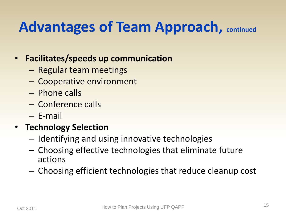## **Advantages of Team Approach, continued**

#### • **Facilitates/speeds up communication**

- Regular team meetings
- Cooperative environment
- Phone calls
- Conference calls
- E-mail

#### • **Technology Selection**

- Identifying and using innovative technologies
- Choosing effective technologies that eliminate future actions
- Choosing efficient technologies that reduce cleanup cost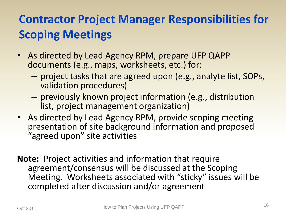## **Contractor Project Manager Responsibilities for Scoping Meetings**

- As directed by Lead Agency RPM, prepare UFP QAPP documents (e.g., maps, worksheets, etc.) for:
	- project tasks that are agreed upon (e.g., analyte list, SOPs, validation procedures)
	- previously known project information (e.g., distribution list, project management organization)
- As directed by Lead Agency RPM, provide scoping meeting presentation of site background information and proposed "agreed upon" site activities
- **Note:** Project activities and information that require agreement/consensus will be discussed at the Scoping Meeting. Worksheets associated with "sticky" issues will be completed after discussion and/or agreement